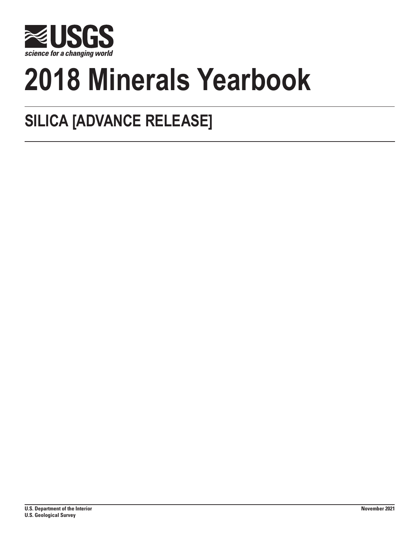

# **2018 Minerals Yearbook**

## **SILICA [ADVANCE RELEASE]**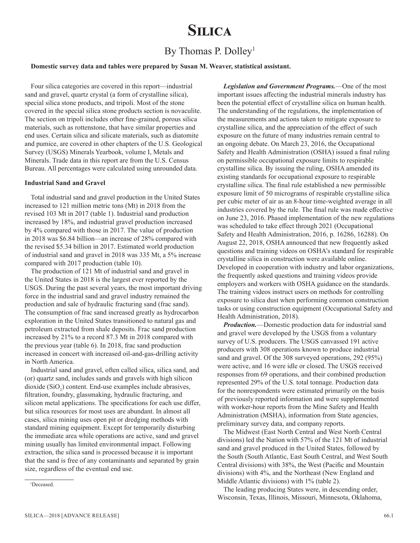### **Silica**

#### By Thomas P. Dolley<sup>1</sup>

#### **Domestic survey data and tables were prepared by Susan M. Weaver, statistical assistant.**

Four silica categories are covered in this report—industrial sand and gravel, quartz crystal (a form of crystalline silica), special silica stone products, and tripoli. Most of the stone covered in the special silica stone products section is novaculite. The section on tripoli includes other fine-grained, porous silica materials, such as rottenstone, that have similar properties and end uses. Certain silica and silicate materials, such as diatomite and pumice, are covered in other chapters of the U.S. Geological Survey (USGS) Minerals Yearbook, volume I, Metals and Minerals. Trade data in this report are from the U.S. Census Bureau. All percentages were calculated using unrounded data.

#### **Industrial Sand and Gravel**

Total industrial sand and gravel production in the United States increased to 121 million metric tons (Mt) in 2018 from the revised 103 Mt in 2017 (table 1). Industrial sand production increased by 18%, and industrial gravel production increased by 4% compared with those in 2017. The value of production in 2018 was \$6.84 billion—an increase of 28% compared with the revised \$5.34 billion in 2017. Estimated world production of industrial sand and gravel in 2018 was 335 Mt, a 5% increase compared with 2017 production (table 10).

The production of 121 Mt of industrial sand and gravel in the United States in 2018 is the largest ever reported by the USGS. During the past several years, the most important driving force in the industrial sand and gravel industry remained the production and sale of hydraulic fracturing sand (frac sand). The consumption of frac sand increased greatly as hydrocarbon exploration in the United States transitioned to natural gas and petroleum extracted from shale deposits. Frac sand production increased by 21% to a record 87.3 Mt in 2018 compared with the previous year (table 6). In 2018, frac sand production increased in concert with increased oil-and-gas-drilling activity in North America.

Industrial sand and gravel, often called silica, silica sand, and (or) quartz sand, includes sands and gravels with high silicon dioxide  $(SiO_2)$  content. End-use examples include abrasives, filtration, foundry, glassmaking, hydraulic fracturing, and silicon metal applications. The specifications for each use differ, but silica resources for most uses are abundant. In almost all cases, silica mining uses open pit or dredging methods with standard mining equipment. Except for temporarily disturbing the immediate area while operations are active, sand and gravel mining usually has limited environmental impact. Following extraction, the silica sand is processed because it is important that the sand is free of any contaminants and separated by grain size, regardless of the eventual end use.

*Production.*—Domestic production data for industrial sand and gravel were developed by the USGS from a voluntary survey of U.S. producers. The USGS canvassed 191 active producers with 308 operations known to produce industrial sand and gravel. Of the 308 surveyed operations, 292 (95%) were active, and 16 were idle or closed. The USGS received responses from 69 operations, and their combined production represented 29% of the U.S. total tonnage. Production data for the nonrespondents were estimated primarily on the basis of previously reported information and were supplemented with worker-hour reports from the Mine Safety and Health Administration (MSHA), information from State agencies, preliminary survey data, and company reports.

The Midwest (East North Central and West North Central divisions) led the Nation with 57% of the 121 Mt of industrial sand and gravel produced in the United States, followed by the South (South Atlantic, East South Central, and West South Central divisions) with 38%, the West (Pacific and Mountain divisions) with 4%, and the Northeast (New England and Middle Atlantic divisions) with 1% (table 2).

The leading producing States were, in descending order, Wisconsin, Texas, Illinois, Missouri, Minnesota, Oklahoma,

*Legislation and Government Programs.*—One of the most important issues affecting the industrial minerals industry has been the potential effect of crystalline silica on human health. The understanding of the regulations, the implementation of the measurements and actions taken to mitigate exposure to crystalline silica, and the appreciation of the effect of such exposure on the future of many industries remain central to an ongoing debate. On March 23, 2016, the Occupational Safety and Health Administration (OSHA) issued a final ruling on permissible occupational exposure limits to respirable crystalline silica. By issuing the ruling, OSHA amended its existing standards for occupational exposure to respirable crystalline silica. The final rule established a new permissible exposure limit of 50 micrograms of respirable crystalline silica per cubic meter of air as an 8-hour time-weighted average in all industries covered by the rule. The final rule was made effective on June 23, 2016. Phased implementation of the new regulations was scheduled to take effect through 2021 (Occupational Safety and Health Administration, 2016, p. 16286, 16288). On August 22, 2018, OSHA announced that new frequently asked questions and training videos on OSHA's standard for respirable crystalline silica in construction were available online. Developed in cooperation with industry and labor organizations, the frequently asked questions and training videos provide employers and workers with OSHA guidance on the standards. The training videos instruct users on methods for controlling exposure to silica dust when performing common construction tasks or using construction equipment (Occupational Safety and Health Administration, 2018).

<sup>1</sup> Deceased.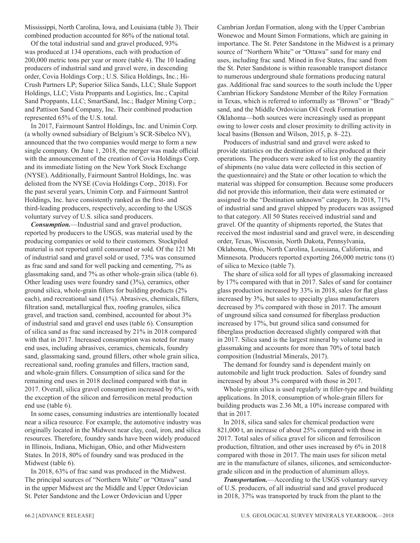Mississippi, North Carolina, Iowa, and Louisiana (table 3). Their combined production accounted for 86% of the national total.

Of the total industrial sand and gravel produced, 93% was produced at 134 operations, each with production of 200,000 metric tons per year or more (table 4). The 10 leading producers of industrial sand and gravel were, in descending order, Covia Holdings Corp.; U.S. Silica Holdings, Inc.; Hi-Crush Partners LP; Superior Silica Sands, LLC; Shale Support Holdings, LLC; Vista Proppants and Logistics, Inc.; Capital Sand Proppants, LLC; SmartSand, Inc.; Badger Mining Corp.; and Pattison Sand Company, Inc. Their combined production represented 65% of the U.S. total.

In 2017, Fairmount Santrol Holdings, Inc. and Unimin Corp. (a wholly owned subsidiary of Belgium's SCR-Sibelco NV), announced that the two companies would merge to form a new single company. On June 1, 2018, the merger was made official with the announcement of the creation of Covia Holdings Corp. and its immediate listing on the New York Stock Exchange (NYSE). Additionally, Fairmount Santrol Holdings, Inc. was delisted from the NYSE (Covia Holdings Corp., 2018). For the past several years, Unimin Corp. and Fairmount Santrol Holdings, Inc. have consistently ranked as the first- and third-leading producers, respectively, according to the USGS voluntary survey of U.S. silica sand producers.

*Consumption.*—Industrial sand and gravel production, reported by producers to the USGS, was material used by the producing companies or sold to their customers. Stockpiled material is not reported until consumed or sold. Of the 121 Mt of industrial sand and gravel sold or used, 73% was consumed as frac sand and sand for well packing and cementing, 7% as glassmaking sand, and 7% as other whole-grain silica (table 6). Other leading uses were foundry sand (3%), ceramics, other ground silica, whole-grain fillers for building products (2% each), and recreational sand (1%). Abrasives, chemicals, fillers, filtration sand, metallurgical flux, roofing granules, silica gravel, and traction sand, combined, accounted for about 3% of industrial sand and gravel end uses (table 6). Consumption of silica sand as frac sand increased by 21% in 2018 compared with that in 2017. Increased consumption was noted for many end uses, including abrasives, ceramics, chemicals, foundry sand, glassmaking sand, ground fillers, other whole grain silica, recreational sand, roofing granules and fillers, traction sand, and whole-grain fillers. Consumption of silica sand for the remaining end uses in 2018 declined compared with that in 2017. Overall, silica gravel consumption increased by 6%, with the exception of the silicon and ferrosilicon metal production end use (table 6).

In some cases, consuming industries are intentionally located near a silica resource. For example, the automotive industry was originally located in the Midwest near clay, coal, iron, and silica resources. Therefore, foundry sands have been widely produced in Illinois, Indiana, Michigan, Ohio, and other Midwestern States. In 2018, 80% of foundry sand was produced in the Midwest (table 6).

In 2018, 63% of frac sand was produced in the Midwest. The principal sources of "Northern White" or "Ottawa" sand in the upper Midwest are the Middle and Upper Ordovician St. Peter Sandstone and the Lower Ordovician and Upper

Cambrian Jordan Formation, along with the Upper Cambrian Wonewoc and Mount Simon Formations, which are gaining in importance. The St. Peter Sandstone in the Midwest is a primary source of "Northern White" or "Ottawa" sand for many end uses, including frac sand. Mined in five States, frac sand from the St. Peter Sandstone is within reasonable transport distance to numerous underground shale formations producing natural gas. Additional frac sand sources to the south include the Upper Cambrian Hickory Sandstone Member of the Riley Formation in Texas, which is referred to informally as "Brown" or "Brady" sand, and the Middle Ordovician Oil Creek Formation in Oklahoma—both sources were increasingly used as proppant owing to lower costs and closer proximity to drilling activity in local basins (Benson and Wilson, 2015, p. 8–22).

Producers of industrial sand and gravel were asked to provide statistics on the destination of silica produced at their operations. The producers were asked to list only the quantity of shipments (no value data were collected in this section of the questionnaire) and the State or other location to which the material was shipped for consumption. Because some producers did not provide this information, their data were estimated or assigned to the "Destination unknown" category. In 2018, 71% of industrial sand and gravel shipped by producers was assigned to that category. All 50 States received industrial sand and gravel. Of the quantity of shipments reported, the States that received the most industrial sand and gravel were, in descending order, Texas, Wisconsin, North Dakota, Pennsylvania, Oklahoma, Ohio, North Carolina, Louisiana, California, and Minnesota. Producers reported exporting 266,000 metric tons (t) of silica to Mexico (table 7).

The share of silica sold for all types of glassmaking increased by 17% compared with that in 2017. Sales of sand for container glass production increased by 33% in 2018, sales for flat glass increased by 3%, but sales to specialty glass manufacturers decreased by 3% compared with those in 2017. The amount of unground silica sand consumed for fiberglass production increased by 17%, but ground silica sand consumed for fiberglass production decreased slightly compared with that in 2017. Silica sand is the largest mineral by volume used in glassmaking and accounts for more than 70% of total batch composition (Industrial Minerals, 2017).

The demand for foundry sand is dependent mainly on automobile and light truck production. Sales of foundry sand increased by about 3% compared with those in 2017.

Whole-grain silica is used regularly in filler-type and building applications. In 2018, consumption of whole-grain fillers for building products was 2.36 Mt, a 10% increase compared with that in 2017.

In 2018, silica sand sales for chemical production were 821,000 t, an increase of about 25% compared with those in 2017. Total sales of silica gravel for silicon and ferrosilicon production, filtration, and other uses increased by 6% in 2018 compared with those in 2017. The main uses for silicon metal are in the manufacture of silanes, silicones, and semiconductorgrade silicon and in the production of aluminum alloys.

*Transportation.*—According to the USGS voluntary survey of U.S. producers, of all industrial sand and gravel produced in 2018, 37% was transported by truck from the plant to the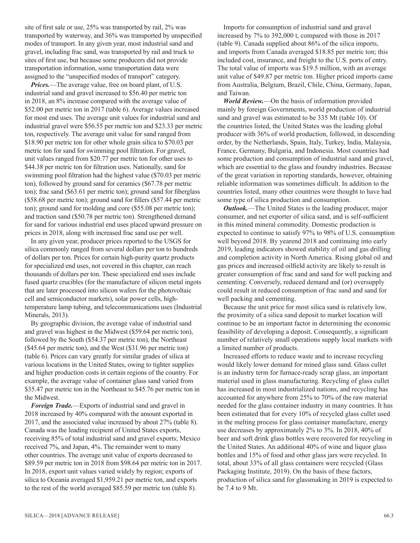site of first sale or use, 25% was transported by rail, 2% was transported by waterway, and 36% was transported by unspecified modes of transport. In any given year, most industrial sand and gravel, including frac sand, was transported by rail and truck to sites of first use, but because some producers did not provide transportation information, some transportation data were assigned to the "unspecified modes of transport" category.

*Prices.*—The average value, free on board plant, of U.S. industrial sand and gravel increased to \$56.40 per metric ton in 2018, an 8% increase compared with the average value of \$52.00 per metric ton in 2017 (table 6). Average values increased for most end uses. The average unit values for industrial sand and industrial gravel were \$56.55 per metric ton and \$23.33 per metric ton, respectively. The average unit value for sand ranged from \$18.90 per metric ton for other whole grain silica to \$70.03 per metric ton for sand for swimming pool filtration. For gravel, unit values ranged from \$20.77 per metric ton for other uses to \$44.38 per metric ton for filtration uses. Nationally, sand for swimming pool filtration had the highest value (\$70.03 per metric ton), followed by ground sand for ceramics (\$67.78 per metric ton); frac sand (\$63.61 per metric ton); ground sand for fiberglass (\$58.68 per metric ton); ground sand for fillers (\$57.44 per metric ton); ground sand for molding and core (\$55.08 per metric ton); and traction sand (\$50.78 per metric ton). Strengthened demand for sand for various industrial end uses placed upward pressure on prices in 2018, along with increased frac sand use per well.

In any given year, producer prices reported to the USGS for silica commonly ranged from several dollars per ton to hundreds of dollars per ton. Prices for certain high-purity quartz products for specialized end uses, not covered in this chapter, can reach thousands of dollars per ton. These specialized end uses include fused quartz crucibles (for the manufacture of silicon metal ingots that are later processed into silicon wafers for the photovoltaic cell and semiconductor markets), solar power cells, hightemperature lamp tubing, and telecommunications uses (Industrial Minerals, 2013).

By geographic division, the average value of industrial sand and gravel was highest in the Midwest (\$59.64 per metric ton), followed by the South (\$54.37 per metric ton), the Northeast (\$45.64 per metric ton), and the West (\$31.96 per metric ton) (table 6). Prices can vary greatly for similar grades of silica at various locations in the United States, owing to tighter supplies and higher production costs in certain regions of the country. For example, the average value of container glass sand varied from \$35.47 per metric ton in the Northeast to \$45.76 per metric ton in the Midwest.

*Foreign Trade.*—Exports of industrial sand and gravel in 2018 increased by 40% compared with the amount exported in 2017, and the associated value increased by about 27% (table 8). Canada was the leading recipient of United States exports, receiving 85% of total industrial sand and gravel exports; Mexico received 7%, and Japan, 4%. The remainder went to many other countries. The average unit value of exports decreased to \$89.59 per metric ton in 2018 from \$98.64 per metric ton in 2017. In 2018, export unit values varied widely by region; exports of silica to Oceania averaged \$1,959.21 per metric ton, and exports to the rest of the world averaged \$85.59 per metric ton (table 8).

Imports for consumption of industrial sand and gravel increased by 7% to 392,000 t, compared with those in 2017 (table 9). Canada supplied about 86% of the silica imports, and imports from Canada averaged \$18.85 per metric ton; this included cost, insurance, and freight to the U.S. ports of entry. The total value of imports was \$19.5 million, with an average unit value of \$49.87 per metric ton. Higher priced imports came from Australia, Belgium, Brazil, Chile, China, Germany, Japan, and Taiwan.

*World Review.*—On the basis of information provided mainly by foreign Governments, world production of industrial sand and gravel was estimated to be 335 Mt (table 10). Of the countries listed, the United States was the leading global producer with 36% of world production, followed, in descending order, by the Netherlands, Spain, Italy, Turkey, India, Malaysia, France, Germany, Bulgaria, and Indonesia. Most countries had some production and consumption of industrial sand and gravel, which are essential to the glass and foundry industries. Because of the great variation in reporting standards, however, obtaining reliable information was sometimes difficult. In addition to the countries listed, many other countries were thought to have had some type of silica production and consumption.

*Outlook*.—The United States is the leading producer, major consumer, and net exporter of silica sand, and is self-sufficient in this mined mineral commodity. Domestic production is expected to continue to satisfy 97% to 98% of U.S. consumption well beyond 2018. By yearend 2018 and continuing into early 2019, leading indicators showed stability of oil and gas drilling and completion activity in North America. Rising global oil and gas prices and increased oilfield activity are likely to result in greater consumption of frac sand and sand for well packing and cementing. Conversely, reduced demand and (or) oversupply could result in reduced consumption of frac sand and sand for well packing and cementing.

Because the unit price for most silica sand is relatively low, the proximity of a silica sand deposit to market location will continue to be an important factor in determining the economic feasibility of developing a deposit. Consequently, a significant number of relatively small operations supply local markets with a limited number of products.

Increased efforts to reduce waste and to increase recycling would likely lower demand for mined glass sand. Glass cullet is an industry term for furnace-ready scrap glass, an important material used in glass manufacturing. Recycling of glass cullet has increased in most industrialized nations, and recycling has accounted for anywhere from 25% to 70% of the raw material needed for the glass container industry in many countries. It has been estimated that for every 10% of recycled glass cullet used in the melting process for glass container manufacture, energy use decreases by approximately 2% to 3%. In 2018, 40% of beer and soft drink glass bottles were recovered for recycling in the United States. An additional 40% of wine and liquor glass bottles and 15% of food and other glass jars were recycled. In total, about 33% of all glass containers were recycled (Glass Packaging Institute, 2019). On the basis of these factors, production of silica sand for glassmaking in 2019 is expected to be 7.4 to 9 Mt.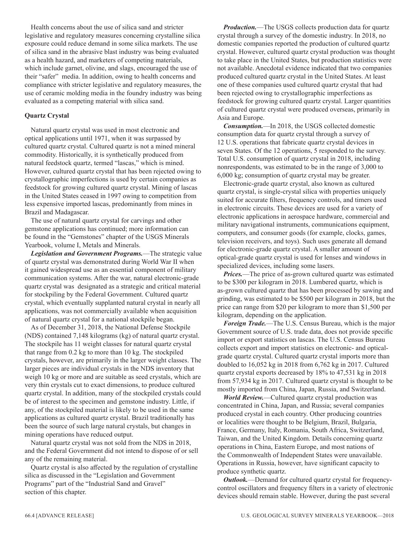Health concerns about the use of silica sand and stricter legislative and regulatory measures concerning crystalline silica exposure could reduce demand in some silica markets. The use of silica sand in the abrasive blast industry was being evaluated as a health hazard, and marketers of competing materials, which include garnet, olivine, and slags, encouraged the use of their "safer" media. In addition, owing to health concerns and compliance with stricter legislative and regulatory measures, the use of ceramic molding media in the foundry industry was being evaluated as a competing material with silica sand.

#### **Quartz Crystal**

Natural quartz crystal was used in most electronic and optical applications until 1971, when it was surpassed by cultured quartz crystal. Cultured quartz is not a mined mineral commodity. Historically, it is synthetically produced from natural feedstock quartz, termed "lascas," which is mined. However, cultured quartz crystal that has been rejected owing to crystallographic imperfections is used by certain companies as feedstock for growing cultured quartz crystal. Mining of lascas in the United States ceased in 1997 owing to competition from less expensive imported lascas, predominantly from mines in Brazil and Madagascar.

The use of natural quartz crystal for carvings and other gemstone applications has continued; more information can be found in the "Gemstones" chapter of the USGS Minerals Yearbook, volume I, Metals and Minerals.

*Legislation and Government Programs.*—The strategic value of quartz crystal was demonstrated during World War II when it gained widespread use as an essential component of military communication systems. After the war, natural electronic-grade quartz crystal was designated as a strategic and critical material for stockpiling by the Federal Government. Cultured quartz crystal, which eventually supplanted natural crystal in nearly all applications, was not commercially available when acquisition of natural quartz crystal for a national stockpile began.

As of December 31, 2018, the National Defense Stockpile (NDS) contained 7,148 kilograms (kg) of natural quartz crystal. The stockpile has 11 weight classes for natural quartz crystal that range from 0.2 kg to more than 10 kg. The stockpiled crystals, however, are primarily in the larger weight classes. The larger pieces are individual crystals in the NDS inventory that weigh 10 kg or more and are suitable as seed crystals, which are very thin crystals cut to exact dimensions, to produce cultured quartz crystal. In addition, many of the stockpiled crystals could be of interest to the specimen and gemstone industry. Little, if any, of the stockpiled material is likely to be used in the same applications as cultured quartz crystal. Brazil traditionally has been the source of such large natural crystals, but changes in mining operations have reduced output.

Natural quartz crystal was not sold from the NDS in 2018, and the Federal Government did not intend to dispose of or sell any of the remaining material.

Quartz crystal is also affected by the regulation of crystalline silica as discussed in the "Legislation and Government Programs" part of the "Industrial Sand and Gravel" section of this chapter.

*Production.*—The USGS collects production data for quartz crystal through a survey of the domestic industry. In 2018, no domestic companies reported the production of cultured quartz crystal. However, cultured quartz crystal production was thought to take place in the United States, but production statistics were not available. Anecdotal evidence indicated that two companies produced cultured quartz crystal in the United States. At least one of these companies used cultured quartz crystal that had been rejected owing to crystallographic imperfections as feedstock for growing cultured quartz crystal. Larger quantities of cultured quartz crystal were produced overseas, primarily in Asia and Europe.

*Consumption.*—In 2018, the USGS collected domestic consumption data for quartz crystal through a survey of 12 U.S. operations that fabricate quartz crystal devices in seven States. Of the 12 operations, 5 responded to the survey. Total U.S. consumption of quartz crystal in 2018, including nonrespondents, was estimated to be in the range of 3,000 to 6,000 kg; consumption of quartz crystal may be greater.

Electronic-grade quartz crystal, also known as cultured quartz crystal, is single-crystal silica with properties uniquely suited for accurate filters, frequency controls, and timers used in electronic circuits. These devices are used for a variety of electronic applications in aerospace hardware, commercial and military navigational instruments, communications equipment, computers, and consumer goods (for example, clocks, games, television receivers, and toys). Such uses generate all demand for electronic-grade quartz crystal. A smaller amount of optical-grade quartz crystal is used for lenses and windows in specialized devices, including some lasers.

*Prices.*—The price of as-grown cultured quartz was estimated to be \$300 per kilogram in 2018. Lumbered quartz, which is as-grown cultured quartz that has been processed by sawing and grinding, was estimated to be \$500 per kilogram in 2018, but the price can range from \$20 per kilogram to more than \$1,500 per kilogram, depending on the application.

*Foreign Trade.*—The U.S. Census Bureau, which is the major Government source of U.S. trade data, does not provide specific import or export statistics on lascas. The U.S. Census Bureau collects export and import statistics on electronic- and opticalgrade quartz crystal. Cultured quartz crystal imports more than doubled to 16,052 kg in 2018 from 6,762 kg in 2017. Cultured quartz crystal exports decreased by 18% to 47,531 kg in 2018 from 57,934 kg in 2017. Cultured quartz crystal is thought to be mostly imported from China, Japan, Russia, and Switzerland.

*World Review.*—Cultured quartz crystal production was concentrated in China, Japan, and Russia; several companies produced crystal in each country. Other producing countries or localities were thought to be Belgium, Brazil, Bulgaria, France, Germany, Italy, Romania, South Africa, Switzerland, Taiwan, and the United Kingdom. Details concerning quartz operations in China, Eastern Europe, and most nations of the Commonwealth of Independent States were unavailable. Operations in Russia, however, have significant capacity to produce synthetic quartz.

*Outlook.*—Demand for cultured quartz crystal for frequencycontrol oscillators and frequency filters in a variety of electronic devices should remain stable. However, during the past several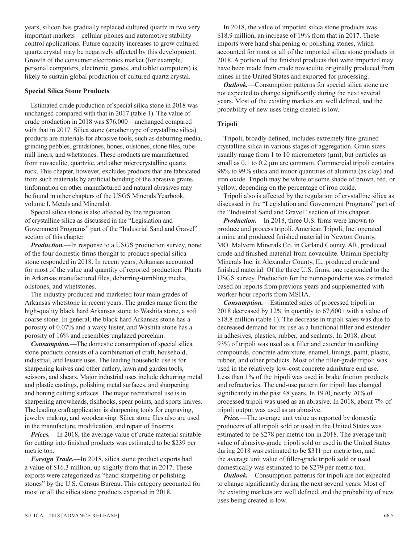years, silicon has gradually replaced cultured quartz in two very important markets—cellular phones and automotive stability control applications. Future capacity increases to grow cultured quartz crystal may be negatively affected by this development. Growth of the consumer electronics market (for example, personal computers, electronic games, and tablet computers) is likely to sustain global production of cultured quartz crystal.

#### **Special Silica Stone Products**

Estimated crude production of special silica stone in 2018 was unchanged compared with that in 2017 (table 1). The value of crude production in 2018 was \$76,000—unchanged compared with that in 2017. Silica stone (another type of crystalline silica) products are materials for abrasive tools, such as deburring media, grinding pebbles, grindstones, hones, oilstones, stone files, tubemill liners, and whetstones. These products are manufactured from novaculite, quartzite, and other microcrystalline quartz rock. This chapter, however, excludes products that are fabricated from such materials by artificial bonding of the abrasive grains (information on other manufactured and natural abrasives may be found in other chapters of the USGS Minerals Yearbook, volume I, Metals and Minerals).

Special silica stone is also affected by the regulation of crystalline silica as discussed in the "Legislation and Government Programs" part of the "Industrial Sand and Gravel" section of this chapter.

*Production.*—In response to a USGS production survey, none of the four domestic firms thought to produce special silica stone responded in 2018. In recent years, Arkansas accounted for most of the value and quantity of reported production. Plants in Arkansas manufactured files, deburring-tumbling media, oilstones, and whetstones.

The industry produced and marketed four main grades of Arkansas whetstone in recent years. The grades range from the high-quality black hard Arkansas stone to Washita stone, a soft coarse stone. In general, the black hard Arkansas stone has a porosity of 0.07% and a waxy luster, and Washita stone has a porosity of 16% and resembles unglazed porcelain.

*Consumption.*—The domestic consumption of special silica stone products consists of a combination of craft, household, industrial, and leisure uses. The leading household use is for sharpening knives and other cutlery, lawn and garden tools, scissors, and shears. Major industrial uses include deburring metal and plastic castings, polishing metal surfaces, and sharpening and honing cutting surfaces. The major recreational use is in sharpening arrowheads, fishhooks, spear points, and sports knives. The leading craft application is sharpening tools for engraving, jewelry making, and woodcarving. Silica stone files also are used in the manufacture, modification, and repair of firearms.

*Prices.*—In 2018, the average value of crude material suitable for cutting into finished products was estimated to be \$239 per metric ton.

*Foreign Trade.*—In 2018, silica stone product exports had a value of \$16.3 million, up slightly from that in 2017. These exports were categorized as "hand sharpening or polishing stones" by the U.S. Census Bureau. This category accounted for most or all the silica stone products exported in 2018.

In 2018, the value of imported silica stone products was \$18.9 million, an increase of 19% from that in 2017. These imports were hand sharpening or polishing stones, which accounted for most or all of the imported silica stone products in 2018. A portion of the finished products that were imported may have been made from crude novaculite originally produced from mines in the United States and exported for processing.

*Outlook.*—Consumption patterns for special silica stone are not expected to change significantly during the next several years. Most of the existing markets are well defined, and the probability of new uses being created is low.

#### **Tripoli**

Tripoli, broadly defined, includes extremely fine-grained crystalline silica in various stages of aggregation. Grain sizes usually range from 1 to 10 micrometers  $(\mu m)$ , but particles as small as 0.1 to 0.2  $\mu$ m are common. Commercial tripoli contains 98% to 99% silica and minor quantities of alumina (as clay) and iron oxide. Tripoli may be white or some shade of brown, red, or yellow, depending on the percentage of iron oxide.

Tripoli also is affected by the regulation of crystalline silica as discussed in the "Legislation and Government Programs" part of the "Industrial Sand and Gravel" section of this chapter.

*Production.*—In 2018, three U.S. firms were known to produce and process tripoli. American Tripoli, Inc. operated a mine and produced finished material in Newton County, MO. Malvern Minerals Co. in Garland County, AR, produced crude and finished material from novaculite. Unimin Specialty Minerals Inc. in Alexander County, IL, produced crude and finished material. Of the three U.S. firms, one responded to the USGS survey. Production for the nonrespondents was estimated based on reports from previous years and supplemented with worker-hour reports from MSHA.

*Consumption.*—Estimated sales of processed tripoli in 2018 decreased by 12% in quantity to 67,600 t with a value of \$18.8 million (table 1). The decrease in tripoli sales was due to decreased demand for its use as a functional filler and extender in adhesives, plastics, rubber, and sealants. In 2018, about 93% of tripoli was used as a filler and extender in caulking compounds, concrete admixture, enamel, linings, paint, plastic, rubber, and other products. Most of the filler-grade tripoli was used in the relatively low-cost concrete admixture end use. Less than 1% of the tripoli was used in brake friction products and refractories. The end-use pattern for tripoli has changed significantly in the past 48 years. In 1970, nearly 70% of processed tripoli was used as an abrasive. In 2018, about 7% of tripoli output was used as an abrasive.

*Price.*—The average unit value as reported by domestic producers of all tripoli sold or used in the United States was estimated to be \$278 per metric ton in 2018. The average unit value of abrasive-grade tripoli sold or used in the United States during 2018 was estimated to be \$311 per metric ton, and the average unit value of filler-grade tripoli sold or used domestically was estimated to be \$279 per metric ton.

*Outlook.*—Consumption patterns for tripoli are not expected to change significantly during the next several years. Most of the existing markets are well defined, and the probability of new uses being created is low.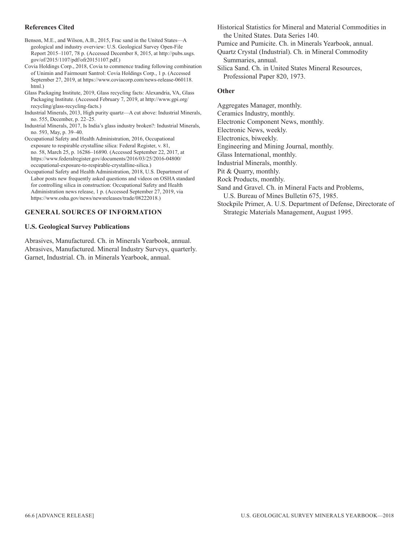#### **References Cited**

Benson, M.E., and Wilson, A.B., 2015, Frac sand in the United States—A geological and industry overview: U.S. Geological Survey Open-File Report 2015–1107, 78 p. (Accessed December 8, 2015, at http://pubs.usgs. gov/of/2015/1107/pdf/ofr20151107.pdf.)

Covia Holdings Corp., 2018, Covia to commence trading following combination of Unimin and Fairmount Santrol: Covia Holdings Corp., 1 p. (Accessed September 27, 2019, at https://www.coviacorp.com/news-release-060118. html.)

Glass Packaging Institute, 2019, Glass recycling facts: Alexandria, VA, Glass Packaging Institute. (Accessed February 7, 2019, at http://www.gpi.org/ recycling/glass-recycling-facts.)

- Industrial Minerals, 2013, High purity quartz—A cut above: Industrial Minerals, no. 555, December, p. 22–25.
- Industrial Minerals, 2017, Is India's glass industry broken?: Industrial Minerals, no. 593, May, p. 39–40.
- Occupational Safety and Health Administration, 2016, Occupational exposure to respirable crystalline silica: Federal Register, v. 81, no. 58, March 25, p. 16286–16890. (Accessed September 22, 2017, at https://www.federalregister.gov/documents/2016/03/25/2016-04800/ occupational-exposure-to-respirable-crystalline-silica.)

Occupational Safety and Health Administration, 2018, U.S. Department of Labor posts new frequently asked questions and videos on OSHA standard for controlling silica in construction: Occupational Safety and Health Administration news release, 1 p. (Accessed September 27, 2019, via https://www.osha.gov/news/newsreleases/trade/08222018.)

#### **GENERAL SOURCES OF INFORMATION**

#### **U.S. Geological Survey Publications**

Abrasives, Manufactured. Ch. in Minerals Yearbook, annual. Abrasives, Manufactured. Mineral Industry Surveys, quarterly. Garnet, Industrial. Ch. in Minerals Yearbook, annual.

Historical Statistics for Mineral and Material Commodities in the United States. Data Series 140.

Pumice and Pumicite. Ch. in Minerals Yearbook, annual.

Quartz Crystal (Industrial). Ch. in Mineral Commodity Summaries, annual.

Silica Sand. Ch. in United States Mineral Resources, Professional Paper 820, 1973.

#### **Other**

Aggregates Manager, monthly.

Ceramics Industry, monthly.

Electronic Component News, monthly.

Electronic News, weekly.

Electronics, biweekly.

Engineering and Mining Journal, monthly.

Glass International, monthly.

Industrial Minerals, monthly.

Pit & Quarry, monthly.

Rock Products, monthly.

Sand and Gravel. Ch. in Mineral Facts and Problems,

U.S. Bureau of Mines Bulletin 675, 1985.

Stockpile Primer, A. U.S. Department of Defense, Directorate of Strategic Materials Management, August 1995.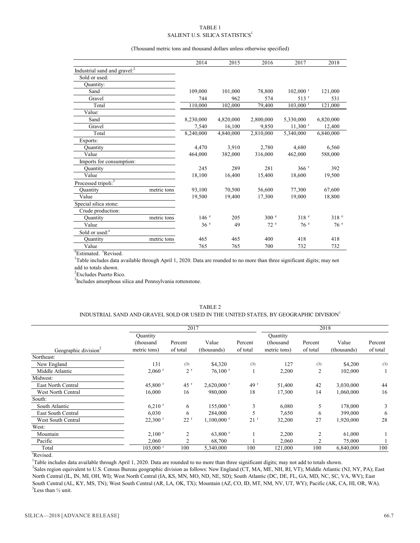#### TABLE 1 SALIENT U.S. SILICA STATISTICS $^1$

#### (Thousand metric tons and thousand dollars unless otherwise specified)

|                                          |             | 2014             | 2015      | 2016             | 2017                   | 2018             |
|------------------------------------------|-------------|------------------|-----------|------------------|------------------------|------------------|
| Industrial sand and gravel: <sup>2</sup> |             |                  |           |                  |                        |                  |
| Sold or used:                            |             |                  |           |                  |                        |                  |
| Quantity:                                |             |                  |           |                  |                        |                  |
| Sand                                     |             | 109,000          | 101,000   | 78,800           | $102,000$ <sup>r</sup> | 121,000          |
| Gravel                                   |             | 744              | 962       | 574              | $513$ <sup>r</sup>     | 531              |
| Total                                    |             | 110,000          | 102,000   | 79,400           | $103,000$ <sup>r</sup> | 121,000          |
| Value:                                   |             |                  |           |                  |                        |                  |
| Sand                                     |             | 8,230,000        | 4,820,000 | 2,800,000        | 5,330,000              | 6,820,000        |
| Gravel                                   |             | 7,540            | 16,100    | 9,850            | $11,300$ <sup>r</sup>  | 12,400           |
| Total                                    |             | 8,240,000        | 4,840,000 | 2,810,000        | 5,340,000              | 6.840.000        |
| Exports:                                 |             |                  |           |                  |                        |                  |
| <b>Quantity</b>                          |             | 4,470            | 3,910     | 2,780            | 4,680                  | 6,560            |
| Value                                    |             | 464,000          | 382,000   | 316,000          | 462,000                | 588,000          |
| Imports for consumption:                 |             |                  |           |                  |                        |                  |
| Quantity                                 |             | 245              | 289       | 281              | 366 <sup>r</sup>       | 392              |
| Value                                    |             | 18,100           | 16,400    | 15,400           | 18,600                 | 19,500           |
| Processed tripoli: <sup>3</sup>          |             |                  |           |                  |                        |                  |
| Ouantity                                 | metric tons | 93,100           | 70,500    | 56,600           | 77,300                 | 67,600           |
| Value                                    |             | 19,500           | 19.400    | 17,300           | 19.000                 | 18,800           |
| Special silica stone:                    |             |                  |           |                  |                        |                  |
| Crude production:                        |             |                  |           |                  |                        |                  |
| Quantity                                 | metric tons | 146 <sup>e</sup> | 205       | 300 <sup>e</sup> | 318 <sup>e</sup>       | 318 <sup>e</sup> |
| Value                                    |             | 36 <sup>e</sup>  | 49        | 72e              | 76e                    | 76 <sup>e</sup>  |
| Sold or used: <sup>e</sup>               |             |                  |           |                  |                        |                  |
| Quantity                                 | metric tons | 465              | 465       | 400              | 418                    | 418              |
| Value                                    |             | 765              | 765       | 700              | 732                    | 732              |

<sup>e</sup>Estimated. <sup>r</sup>Revised.

<sup>1</sup>Table includes data available through April 1, 2020. Data are rounded to no more than three significant digits; may not add to totals shown.

<sup>2</sup> Excludes Puerto Rico.

<sup>3</sup>Includes amorphous silica and Pennsylvania rottenstone.

#### TABLE 2

#### INDUSTRIAL SAND AND GRAVEL SOLD OR USED IN THE UNITED STATES, BY GEOGRAPHIC DIVISION<sup>1</sup>

|                                  |                        | 2017           |                          |                 |              | 2018     |             |          |  |
|----------------------------------|------------------------|----------------|--------------------------|-----------------|--------------|----------|-------------|----------|--|
|                                  | Quantity               |                |                          |                 | Quantity     |          |             |          |  |
|                                  | (thousand              | Percent        | Value                    | Percent         | (thousand    | Percent  | Value       | Percent  |  |
| Geographic division <sup>2</sup> | metric tons)           | of total       | (thousands)              | of total        | metric tons) | of total | (thousands) | of total |  |
| Northeast:                       |                        |                |                          |                 |              |          |             |          |  |
| New England                      | 131                    | (3)            | \$4,320                  | (3)             | 127          | (3)      | \$4,200     | (3)      |  |
| Middle Atlantic                  | $2,060$ <sup>r</sup>   | 2 <sup>r</sup> | $76,100$ <sup>r</sup>    |                 | 2,200        | 2        | 102,000     |          |  |
| Midwest:                         |                        |                |                          |                 |              |          |             |          |  |
| East North Central               | 45,800 $r$             | 45r            | $2,620,000$ <sup>r</sup> | 49 <sup>r</sup> | 51,400       | 42       | 3,030,000   | 44       |  |
| West North Central               | 16,000                 | 16             | 980,000                  | 18              | 17,300       | 14       | 1,060,000   | 16       |  |
| South:                           |                        |                |                          |                 |              |          |             |          |  |
| South Atlantic                   | $6,210$ <sup>r</sup>   | 6              | $155,000$ <sup>r</sup>   | 3               | 6,080        | 5        | 178,000     | 3        |  |
| East South Central               | 6,030                  | 6              | 284,000                  |                 | 7,650        | 6        | 399,000     | 6        |  |
| West South Central               | $22,300$ <sup>r</sup>  | 22r            | $1.100,000$ <sup>r</sup> | 21 <sup>r</sup> | 32,200       | 27       | 1,920,000   | 28       |  |
| West:                            |                        |                |                          |                 |              |          |             |          |  |
| Mountain                         | $2,100$ <sup>r</sup>   | $\overline{c}$ | $63,800$ <sup>r</sup>    |                 | 2,200        | 2        | 61,000      |          |  |
| Pacific                          | 2,060                  | 2              | 68,700                   |                 | 2,060        |          | 75,000      |          |  |
| Total                            | $103,000$ <sup>r</sup> | 100            | 5,340,000                | 100             | 121,000      | 100      | 6,840,000   | 100      |  |

r Revised.

<sup>1</sup>Table includes data available through April 1, 2020. Data are rounded to no more than three significant digits; may not add to totals shown.

<sup>2</sup>Sales region equivalent to U.S. Census Bureau geographic division as follows: New England (CT, MA, ME, NH, RI, VT); Middle Atlantic (NJ, NY, PA); East North Central (IL, IN, MI, OH, WI); West North Central (IA, KS, MN, MO, ND, NE, SD); South Atlantic (DC, DE, FL, GA, MD, NC, SC, VA, WV); East South Central (AL, KY, MS, TN); West South Central (AR, LA, OK, TX); Mountain (AZ, CO, ID, MT, NM, NV, UT, WY); Pacific (AK, CA, HI, OR, WA).  $3$ Less than  $\frac{1}{2}$  unit.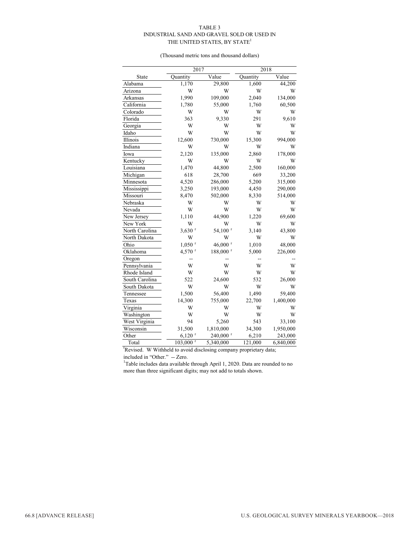#### TABLE 3 INDUSTRIAL SAND AND GRAVEL SOLD OR USED IN THE UNITED STATES, BY STATE<sup>1</sup>

(Thousand metric tons and thousand dollars)

|                |                      | 2017                   |          | 2018      |
|----------------|----------------------|------------------------|----------|-----------|
| State          | Quantity             | Value                  | Quantity | Value     |
| Alabama        | 1,170                | 29,800                 | 1,600    | 44,200    |
| Arizona        | W                    | W                      | W        | W         |
| Arkansas       | 1,990                | 109,000                | 2,040    | 134,000   |
| California     | 1,780                | 55,000                 | 1,760    | 60,500    |
| Colorado       | W                    | W                      | W        | W         |
| Florida        | 363                  | 9,330                  | 291      | 9,610     |
| Georgia        | W                    | W                      | W        | W         |
| Idaho          | W                    | W                      | W        | W         |
| Illinois       | 12,600               | 730,000                | 15,300   | 994,000   |
| Indiana        | W                    | W                      | W        | W         |
| Iowa           | 2,120                | 135,000                | 2,860    | 178,000   |
| Kentucky       | W                    | W                      | W        | W         |
| Louisiana      | 1,470                | 44,800                 | 2,500    | 160,000   |
| Michigan       | 618                  | 28,700                 | 669      | 33,200    |
| Minnesota      | 4,520                | 286,000                | 5,200    | 315,000   |
| Mississippi    | 3,250                | 193,000                | 4,450    | 290,000   |
| Missouri       | 8,470                | 502,000                | 8,330    | 514,000   |
| Nebraska       | W                    | W                      | W        | W         |
| Nevada         | W                    | W                      | W        | W         |
| New Jersey     | 1,110                | 44,900                 | 1,220    | 69,600    |
| New York       | W                    | W                      | W        | W         |
| North Carolina | $3,630$ <sup>r</sup> | $54,100$ <sup>r</sup>  | 3,140    | 43,800    |
| North Dakota   | W                    | W                      | W        | W         |
| Ohio           | $1,050$ <sup>r</sup> | $46,000$ <sup>r</sup>  | 1,010    | 48,000    |
| Oklahoma       | $4,570$ <sup>r</sup> | 188,000 r              | 5,000    | 226,000   |
| Oregon         |                      |                        | --       |           |
| Pennsylvania   | W                    | W                      | W        | W         |
| Rhode Island   | W                    | W                      | W        | W         |
| South Carolina | 522                  | 24,600                 | 532      | 26,000    |
| South Dakota   | W                    | W                      | W        | W         |
| Tennessee      | 1,500                | 56,400                 | 1,490    | 59,400    |
| Texas          | 14,300               | 755,000                | 22,700   | 1,400,000 |
| Virginia       | W                    | W                      | W        | W         |
| Washington     | W                    | W                      | W        | W         |
| West Virginia  | 94                   | 5,260                  | 543      | 33,100    |
| Wisconsin      | 31,500               | 1,810,000              | 34,300   | 1,950,000 |
| Other          | $6,120$ <sup>r</sup> | $240,000$ <sup>r</sup> | 6,210    | 243,000   |
| Total          | 103,000 r            | 5,340,000              | 121,000  | 6,840,000 |

<sup>r</sup>Revised. W Withheld to avoid disclosing company proprietary data;

included in "Other." -- Zero. 1 Table includes data available through April 1, 2020. Data are rounded to no more than three significant digits; may not add to totals shown.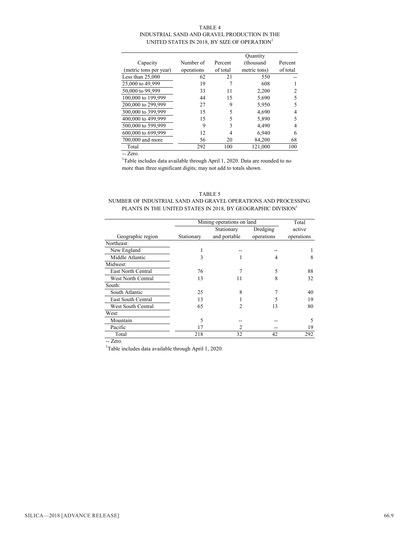#### TABLE 4 INDUSTRIAL SAND AND GRAVEL PRODUCTION IN THE UNITED STATES IN 2018, BY SIZE OF OPERATION<sup>1</sup>

|                        |            |          | Quantity     |          |
|------------------------|------------|----------|--------------|----------|
| Capacity               | Number of  | Percent  | (thousand    | Percent  |
| (metric tons per year) | operations | of total | metric tons) | of total |
| Less than $25,000$     | 62         | 21       | 550          |          |
| 25,000 to 49,999       | 19         |          | 608          |          |
| 50,000 to 99,999       | 33         | 11       | 2,200        |          |
| 100,000 to 199,999     | 44         | 15       | 5.690        |          |
| 200,000 to 299,999     | 27         | 9        | 5,950        |          |
| 300,000 to 399,999     | 15         | 5        | 4,690        |          |
| 400,000 to 499,999     | 15         | 5        | 5.890        |          |
| 500,000 to 599,999     | 9          | 3        | 4.490        |          |
| 600,000 to 699,999     | 12         | 4        | 6,940        | 6        |
| 700,000 and more       | 56         | 20       | 84,200       | 68       |
| Total                  | 292        | 100      | 121.000      | 100      |

-- Zero.

<sup>1</sup>Table includes data available through April 1, 2020. Data are rounded to no more than three significant digits; may not add to totals shown.

#### TABLE 5

#### NUMBER OF INDUSTRIAL SAND AND GRAVEL OPERATIONS AND PROCESSING PLANTS IN THE UNITED STATES IN 2018, BY GEOGRAPHIC DIVISION $^{\rm l}$

|                    |            | Mining operations on land |            |            |  |  |
|--------------------|------------|---------------------------|------------|------------|--|--|
|                    |            | Stationary                | Dredging   | active     |  |  |
| Geographic region  | Stationary | and portable              | operations | operations |  |  |
| Northeast:         |            |                           |            |            |  |  |
| New England        |            |                           |            |            |  |  |
| Middle Atlantic    | 3          |                           | 4          | 8          |  |  |
| Midwest:           |            |                           |            |            |  |  |
| East North Central | 76         | 7                         | 5          | 88         |  |  |
| West North Central | 13         | 11                        | 8          | 32         |  |  |
| South:             |            |                           |            |            |  |  |
| South Atlantic     | 25         | 8                         |            | 40         |  |  |
| East South Central | 13         |                           |            | 19         |  |  |
| West South Central | 65         | 2                         | 13         | 80         |  |  |
| West:              |            |                           |            |            |  |  |
| Mountain           | 5          |                           |            | 5          |  |  |
| Pacific            | 17         |                           |            | 19         |  |  |
| Total              | 218        | 32                        | 42         | 292        |  |  |

-- Zero.

<sup>1</sup>Table includes data available through April 1, 2020.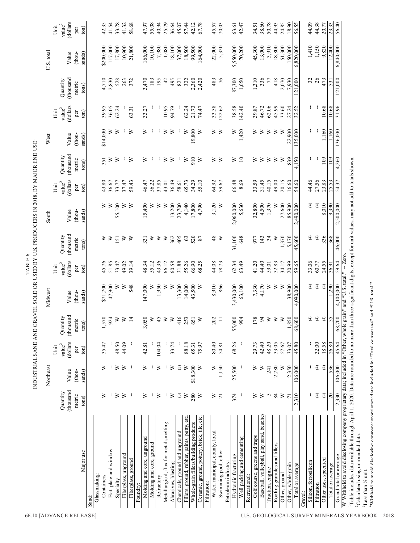| sands)<br>(thousand<br>$\bigoplus$<br>$\mathfrak{E}$<br>336<br>Quantity<br>31,100<br>1,370<br>5,170<br>405<br>$63\,$<br>520<br>$\frac{8}{3}$<br>648<br>34<br>45,600<br>368<br>151<br>≽<br>≽<br>≥<br>362<br>977<br>143<br>≽<br>⋗<br>331<br>≥<br>≽<br>87<br>≥<br>$\geq$<br>metric<br>tons)<br>(dollars<br>45.76<br>51.85<br>43.36<br>31.88<br>55.26<br>62.34<br>63.49<br>41.20<br>44.40<br>20.99<br>33.06<br>24.55<br>33.47<br>48.34<br>55.12<br>66.12<br>60.58<br>66.90<br>68.25<br>44.08<br>32.83<br>34.17<br>59.65<br>60.77<br>49.02<br>39.14<br>78.73<br>59.01<br>${\rm value}^2$<br>36.91<br>Unit<br>ton)<br>per<br>$\widehat{\mathfrak{X}}$<br>$\oplus$<br>14,000<br>8,910<br>7,330<br>4,170<br>≥<br>38.900<br>⊕<br>1,290<br>47,900<br>548<br>147,000<br>1,950<br>13,300<br>866<br>3,430,000<br>63,100<br>≽<br>≽<br>4,090,000<br>\$71,700<br>≥<br>≥<br>≥<br>≥<br>≥<br>43,500<br>≥<br>sands)<br>Value<br>(thou-<br>(thousand<br>$\mathfrak{X}$<br>$\bigoplus$<br>Quantity<br>416<br>$\gtrsim$<br>$\bigoplus$<br>35<br>0.50<br>253<br>202<br>55,000<br>$\frac{4}{5}$<br>≥<br>850<br>570<br>924<br>≥<br>≥<br>$\overline{4}$<br>$\geq$<br>45<br>$\geq$<br>≥<br>178<br>≽<br>600<br>651<br>≥<br>$\equiv$<br>994<br>metric<br>tons)<br>$\dot{ }$<br>Ξ<br>68<br>dollars<br>68.26<br>48.50<br>44.09<br>80.40<br>18.58<br>26.80<br>33.74<br>88.18<br>42.40<br>48.20<br>33.05<br>45.80<br>32.00<br>35.47<br>104.04<br>65.31<br>54.81<br>29.73<br>57.67<br>33.07<br>42.81<br>75.97<br>${\rm value}^2$<br>Unit<br>ton)<br>per<br>$\bigoplus$<br>536<br>25,500<br>$\oplus$<br>$\odot$<br>2,780<br>2,350<br>106,000<br>≽<br>≥<br>\$18,300<br>1,150<br>$\geq$<br>≽<br>≥<br>⋧<br>≽<br>≽<br>≥<br>≽<br>≽<br>$\geq$<br>241<br>J,<br>sands)<br>(thou-<br>Value<br>(thousand<br>Quantity<br>$\bigoplus$<br>$\widehat{f}$<br>20<br>$\odot$<br>280<br>≥<br>$\geq$<br>≽<br>≽<br>≥<br>374<br>S<br>84<br>⋗<br>2,310<br>metric<br>J.<br>J.<br>≽<br>≥<br>≥<br>÷,<br>⋧<br>≽<br>$\overline{7}$<br>⋧<br>$\overline{c}$<br>tons)<br>Baseball, volleyball, play sand, beaches<br>Fillers, ground, rubber, paints, putty, etc.<br>Ceramic, ground, pottery, brick, tile, etc.<br>Whole-grain fillers/building products<br>Metallurgical, flux for metal smelting<br>Chemicals, ground and unground<br>Water, municipal, county, local<br>Golf course, greens and traps<br>Molding and core, unground<br>Well packing and cementing<br>Molding and core, ground<br>Roofing granules and fillers<br>Flat, plate and window<br>Swimming pool, other<br>Major use<br>Fiberglass, unground<br>Hydraulic fracturing<br>Other uses, specified<br>Fiberglass, ground<br>Petroleum industry:<br>Silicon, ferrosilicon<br>Abrasives, blasting<br>Other, whole grain<br>Total or average<br>Total or average<br>Traction, engine<br>Other, ground<br>Glassmaking:<br>Recreational:<br>Containers<br>Refractory<br>Specialty<br>Filtration:<br>Filtration<br>Foundry:<br>Gravel:<br>Sand: | South                    |                                                                    | West             |                             |                       | U.S. total        |                             |
|------------------------------------------------------------------------------------------------------------------------------------------------------------------------------------------------------------------------------------------------------------------------------------------------------------------------------------------------------------------------------------------------------------------------------------------------------------------------------------------------------------------------------------------------------------------------------------------------------------------------------------------------------------------------------------------------------------------------------------------------------------------------------------------------------------------------------------------------------------------------------------------------------------------------------------------------------------------------------------------------------------------------------------------------------------------------------------------------------------------------------------------------------------------------------------------------------------------------------------------------------------------------------------------------------------------------------------------------------------------------------------------------------------------------------------------------------------------------------------------------------------------------------------------------------------------------------------------------------------------------------------------------------------------------------------------------------------------------------------------------------------------------------------------------------------------------------------------------------------------------------------------------------------------------------------------------------------------------------------------------------------------------------------------------------------------------------------------------------------------------------------------------------------------------------------------------------------------------------------------------------------------------------------------------------------------------------------------------------------------------------------------------------------------------------------------------------------------------------------------------------------------------------------------------------------------------------------------------------------------------------------------------------------------------------------------------------------------------------------------------------------------------------------------------------------------------------------------------------------------------------------------------------------------------------------------------|--------------------------|--------------------------------------------------------------------|------------------|-----------------------------|-----------------------|-------------------|-----------------------------|
|                                                                                                                                                                                                                                                                                                                                                                                                                                                                                                                                                                                                                                                                                                                                                                                                                                                                                                                                                                                                                                                                                                                                                                                                                                                                                                                                                                                                                                                                                                                                                                                                                                                                                                                                                                                                                                                                                                                                                                                                                                                                                                                                                                                                                                                                                                                                                                                                                                                                                                                                                                                                                                                                                                                                                                                                                                                                                                                                                |                          | Unit                                                               |                  | Unit                        |                       |                   | Unit                        |
|                                                                                                                                                                                                                                                                                                                                                                                                                                                                                                                                                                                                                                                                                                                                                                                                                                                                                                                                                                                                                                                                                                                                                                                                                                                                                                                                                                                                                                                                                                                                                                                                                                                                                                                                                                                                                                                                                                                                                                                                                                                                                                                                                                                                                                                                                                                                                                                                                                                                                                                                                                                                                                                                                                                                                                                                                                                                                                                                                | Value                    | (thousand<br>Quantity<br>(dollars<br>$\ensuremath{\text{value}}^2$ | Value            | (dollars<br>${\rm value}^2$ | (thousand<br>Quantity | Value             | (dollars<br>${\rm value}^2$ |
|                                                                                                                                                                                                                                                                                                                                                                                                                                                                                                                                                                                                                                                                                                                                                                                                                                                                                                                                                                                                                                                                                                                                                                                                                                                                                                                                                                                                                                                                                                                                                                                                                                                                                                                                                                                                                                                                                                                                                                                                                                                                                                                                                                                                                                                                                                                                                                                                                                                                                                                                                                                                                                                                                                                                                                                                                                                                                                                                                | ton)<br>per<br>(thou-    | metric<br>tons)                                                    | sands)<br>(thou- | ton)<br>per                 | metric<br>tons)       | (thou-<br>sands)  | ton)<br>per                 |
|                                                                                                                                                                                                                                                                                                                                                                                                                                                                                                                                                                                                                                                                                                                                                                                                                                                                                                                                                                                                                                                                                                                                                                                                                                                                                                                                                                                                                                                                                                                                                                                                                                                                                                                                                                                                                                                                                                                                                                                                                                                                                                                                                                                                                                                                                                                                                                                                                                                                                                                                                                                                                                                                                                                                                                                                                                                                                                                                                |                          |                                                                    |                  |                             |                       |                   |                             |
|                                                                                                                                                                                                                                                                                                                                                                                                                                                                                                                                                                                                                                                                                                                                                                                                                                                                                                                                                                                                                                                                                                                                                                                                                                                                                                                                                                                                                                                                                                                                                                                                                                                                                                                                                                                                                                                                                                                                                                                                                                                                                                                                                                                                                                                                                                                                                                                                                                                                                                                                                                                                                                                                                                                                                                                                                                                                                                                                                |                          |                                                                    |                  |                             |                       |                   |                             |
|                                                                                                                                                                                                                                                                                                                                                                                                                                                                                                                                                                                                                                                                                                                                                                                                                                                                                                                                                                                                                                                                                                                                                                                                                                                                                                                                                                                                                                                                                                                                                                                                                                                                                                                                                                                                                                                                                                                                                                                                                                                                                                                                                                                                                                                                                                                                                                                                                                                                                                                                                                                                                                                                                                                                                                                                                                                                                                                                                | ≽                        | 351<br>43.80                                                       | \$14,000         | 39.95                       | 4,710                 | \$200,000         | 42.35                       |
|                                                                                                                                                                                                                                                                                                                                                                                                                                                                                                                                                                                                                                                                                                                                                                                                                                                                                                                                                                                                                                                                                                                                                                                                                                                                                                                                                                                                                                                                                                                                                                                                                                                                                                                                                                                                                                                                                                                                                                                                                                                                                                                                                                                                                                                                                                                                                                                                                                                                                                                                                                                                                                                                                                                                                                                                                                                                                                                                                | ≽                        | ≥<br>36.67                                                         | ≽                | 36.05                       | 2,830                 | 117,000           | 41.54                       |
|                                                                                                                                                                                                                                                                                                                                                                                                                                                                                                                                                                                                                                                                                                                                                                                                                                                                                                                                                                                                                                                                                                                                                                                                                                                                                                                                                                                                                                                                                                                                                                                                                                                                                                                                                                                                                                                                                                                                                                                                                                                                                                                                                                                                                                                                                                                                                                                                                                                                                                                                                                                                                                                                                                                                                                                                                                                                                                                                                | \$5,100                  | ⋗<br>33.77                                                         | ⋗                | 62.24                       | 528                   | 17,800            | 33.78                       |
|                                                                                                                                                                                                                                                                                                                                                                                                                                                                                                                                                                                                                                                                                                                                                                                                                                                                                                                                                                                                                                                                                                                                                                                                                                                                                                                                                                                                                                                                                                                                                                                                                                                                                                                                                                                                                                                                                                                                                                                                                                                                                                                                                                                                                                                                                                                                                                                                                                                                                                                                                                                                                                                                                                                                                                                                                                                                                                                                                | ≥                        | ÷,<br>37.47                                                        |                  |                             | 263                   | 10,900            | 41.32                       |
|                                                                                                                                                                                                                                                                                                                                                                                                                                                                                                                                                                                                                                                                                                                                                                                                                                                                                                                                                                                                                                                                                                                                                                                                                                                                                                                                                                                                                                                                                                                                                                                                                                                                                                                                                                                                                                                                                                                                                                                                                                                                                                                                                                                                                                                                                                                                                                                                                                                                                                                                                                                                                                                                                                                                                                                                                                                                                                                                                | ≽                        | ⋗<br>59.43                                                         | ≽                | 63.31                       | 372                   | 21,800            | 58.68                       |
|                                                                                                                                                                                                                                                                                                                                                                                                                                                                                                                                                                                                                                                                                                                                                                                                                                                                                                                                                                                                                                                                                                                                                                                                                                                                                                                                                                                                                                                                                                                                                                                                                                                                                                                                                                                                                                                                                                                                                                                                                                                                                                                                                                                                                                                                                                                                                                                                                                                                                                                                                                                                                                                                                                                                                                                                                                                                                                                                                | 15,400                   | ≽<br>46.47                                                         | ≽                | 33.27                       | 3,470                 | 166,000           | 47.97                       |
|                                                                                                                                                                                                                                                                                                                                                                                                                                                                                                                                                                                                                                                                                                                                                                                                                                                                                                                                                                                                                                                                                                                                                                                                                                                                                                                                                                                                                                                                                                                                                                                                                                                                                                                                                                                                                                                                                                                                                                                                                                                                                                                                                                                                                                                                                                                                                                                                                                                                                                                                                                                                                                                                                                                                                                                                                                                                                                                                                | ≽                        | J.<br>56.22                                                        |                  |                             | 183                   | 10,100            | 55.08                       |
|                                                                                                                                                                                                                                                                                                                                                                                                                                                                                                                                                                                                                                                                                                                                                                                                                                                                                                                                                                                                                                                                                                                                                                                                                                                                                                                                                                                                                                                                                                                                                                                                                                                                                                                                                                                                                                                                                                                                                                                                                                                                                                                                                                                                                                                                                                                                                                                                                                                                                                                                                                                                                                                                                                                                                                                                                                                                                                                                                | ≽                        | 37.85                                                              |                  |                             | 195                   | 7,980             | 40.94                       |
|                                                                                                                                                                                                                                                                                                                                                                                                                                                                                                                                                                                                                                                                                                                                                                                                                                                                                                                                                                                                                                                                                                                                                                                                                                                                                                                                                                                                                                                                                                                                                                                                                                                                                                                                                                                                                                                                                                                                                                                                                                                                                                                                                                                                                                                                                                                                                                                                                                                                                                                                                                                                                                                                                                                                                                                                                                                                                                                                                | ≥                        | ⋗<br>43.01                                                         | ≥                | 10.95                       | 42                    | 1,080             | 25.79                       |
|                                                                                                                                                                                                                                                                                                                                                                                                                                                                                                                                                                                                                                                                                                                                                                                                                                                                                                                                                                                                                                                                                                                                                                                                                                                                                                                                                                                                                                                                                                                                                                                                                                                                                                                                                                                                                                                                                                                                                                                                                                                                                                                                                                                                                                                                                                                                                                                                                                                                                                                                                                                                                                                                                                                                                                                                                                                                                                                                                | 13,200                   | ⋗<br>36.49                                                         | ⋗                | 94.79                       | 495                   | 18,100            | 36.64                       |
|                                                                                                                                                                                                                                                                                                                                                                                                                                                                                                                                                                                                                                                                                                                                                                                                                                                                                                                                                                                                                                                                                                                                                                                                                                                                                                                                                                                                                                                                                                                                                                                                                                                                                                                                                                                                                                                                                                                                                                                                                                                                                                                                                                                                                                                                                                                                                                                                                                                                                                                                                                                                                                                                                                                                                                                                                                                                                                                                                | 23,700                   | ÷.<br>58.61                                                        |                  |                             | 821                   | 37,000            | 45.07                       |
|                                                                                                                                                                                                                                                                                                                                                                                                                                                                                                                                                                                                                                                                                                                                                                                                                                                                                                                                                                                                                                                                                                                                                                                                                                                                                                                                                                                                                                                                                                                                                                                                                                                                                                                                                                                                                                                                                                                                                                                                                                                                                                                                                                                                                                                                                                                                                                                                                                                                                                                                                                                                                                                                                                                                                                                                                                                                                                                                                | 4,140                    | ≥<br>65.73                                                         | ≥                | 62.24                       | 322                   | 18,500            | 57.44                       |
|                                                                                                                                                                                                                                                                                                                                                                                                                                                                                                                                                                                                                                                                                                                                                                                                                                                                                                                                                                                                                                                                                                                                                                                                                                                                                                                                                                                                                                                                                                                                                                                                                                                                                                                                                                                                                                                                                                                                                                                                                                                                                                                                                                                                                                                                                                                                                                                                                                                                                                                                                                                                                                                                                                                                                                                                                                                                                                                                                | 17,800                   | 910<br>34.29                                                       | 19,800           | 21.73                       | 2,360                 | 99,500            | 42.12                       |
|                                                                                                                                                                                                                                                                                                                                                                                                                                                                                                                                                                                                                                                                                                                                                                                                                                                                                                                                                                                                                                                                                                                                                                                                                                                                                                                                                                                                                                                                                                                                                                                                                                                                                                                                                                                                                                                                                                                                                                                                                                                                                                                                                                                                                                                                                                                                                                                                                                                                                                                                                                                                                                                                                                                                                                                                                                                                                                                                                | 4,790                    | ≥<br>55.10                                                         | ≥                | 74.47                       | 2,420                 | 164,000           | 67.78                       |
|                                                                                                                                                                                                                                                                                                                                                                                                                                                                                                                                                                                                                                                                                                                                                                                                                                                                                                                                                                                                                                                                                                                                                                                                                                                                                                                                                                                                                                                                                                                                                                                                                                                                                                                                                                                                                                                                                                                                                                                                                                                                                                                                                                                                                                                                                                                                                                                                                                                                                                                                                                                                                                                                                                                                                                                                                                                                                                                                                | 3,120                    | ≽<br>64.92                                                         | ≽                | 33.58                       | 483                   | 22,000            | 45.57                       |
|                                                                                                                                                                                                                                                                                                                                                                                                                                                                                                                                                                                                                                                                                                                                                                                                                                                                                                                                                                                                                                                                                                                                                                                                                                                                                                                                                                                                                                                                                                                                                                                                                                                                                                                                                                                                                                                                                                                                                                                                                                                                                                                                                                                                                                                                                                                                                                                                                                                                                                                                                                                                                                                                                                                                                                                                                                                                                                                                                | ≥                        | ⋗<br>59.67                                                         | ⋗                | 122.62                      | 76                    | 5,320             | 70.03                       |
|                                                                                                                                                                                                                                                                                                                                                                                                                                                                                                                                                                                                                                                                                                                                                                                                                                                                                                                                                                                                                                                                                                                                                                                                                                                                                                                                                                                                                                                                                                                                                                                                                                                                                                                                                                                                                                                                                                                                                                                                                                                                                                                                                                                                                                                                                                                                                                                                                                                                                                                                                                                                                                                                                                                                                                                                                                                                                                                                                |                          |                                                                    |                  |                             |                       |                   |                             |
|                                                                                                                                                                                                                                                                                                                                                                                                                                                                                                                                                                                                                                                                                                                                                                                                                                                                                                                                                                                                                                                                                                                                                                                                                                                                                                                                                                                                                                                                                                                                                                                                                                                                                                                                                                                                                                                                                                                                                                                                                                                                                                                                                                                                                                                                                                                                                                                                                                                                                                                                                                                                                                                                                                                                                                                                                                                                                                                                                | 2,060,000                | ₹<br>66.48                                                         | ≥                | 38.58                       | 87,300                | 5,550,000         | 63.61                       |
|                                                                                                                                                                                                                                                                                                                                                                                                                                                                                                                                                                                                                                                                                                                                                                                                                                                                                                                                                                                                                                                                                                                                                                                                                                                                                                                                                                                                                                                                                                                                                                                                                                                                                                                                                                                                                                                                                                                                                                                                                                                                                                                                                                                                                                                                                                                                                                                                                                                                                                                                                                                                                                                                                                                                                                                                                                                                                                                                                | 5,630                    | $\overline{10}$<br>8.69                                            | 1,420            | 142.40                      | 1,650                 | 70,200            | 42.47                       |
|                                                                                                                                                                                                                                                                                                                                                                                                                                                                                                                                                                                                                                                                                                                                                                                                                                                                                                                                                                                                                                                                                                                                                                                                                                                                                                                                                                                                                                                                                                                                                                                                                                                                                                                                                                                                                                                                                                                                                                                                                                                                                                                                                                                                                                                                                                                                                                                                                                                                                                                                                                                                                                                                                                                                                                                                                                                                                                                                                |                          |                                                                    |                  |                             |                       |                   |                             |
|                                                                                                                                                                                                                                                                                                                                                                                                                                                                                                                                                                                                                                                                                                                                                                                                                                                                                                                                                                                                                                                                                                                                                                                                                                                                                                                                                                                                                                                                                                                                                                                                                                                                                                                                                                                                                                                                                                                                                                                                                                                                                                                                                                                                                                                                                                                                                                                                                                                                                                                                                                                                                                                                                                                                                                                                                                                                                                                                                | 32,800                   | ≥<br>33.59                                                         | ≥                | 39.87                       | 1,310                 | 45,300            | 34.51                       |
|                                                                                                                                                                                                                                                                                                                                                                                                                                                                                                                                                                                                                                                                                                                                                                                                                                                                                                                                                                                                                                                                                                                                                                                                                                                                                                                                                                                                                                                                                                                                                                                                                                                                                                                                                                                                                                                                                                                                                                                                                                                                                                                                                                                                                                                                                                                                                                                                                                                                                                                                                                                                                                                                                                                                                                                                                                                                                                                                                | 4,500                    | $\geq$<br>31.45                                                    | ⋗                | 46.72                       | 336                   | 13,000            | 38.60                       |
|                                                                                                                                                                                                                                                                                                                                                                                                                                                                                                                                                                                                                                                                                                                                                                                                                                                                                                                                                                                                                                                                                                                                                                                                                                                                                                                                                                                                                                                                                                                                                                                                                                                                                                                                                                                                                                                                                                                                                                                                                                                                                                                                                                                                                                                                                                                                                                                                                                                                                                                                                                                                                                                                                                                                                                                                                                                                                                                                                | 1,370                    | ≥<br>40.15                                                         | ⋗                | 62.06                       | 77                    | 3,910             | 50.78                       |
|                                                                                                                                                                                                                                                                                                                                                                                                                                                                                                                                                                                                                                                                                                                                                                                                                                                                                                                                                                                                                                                                                                                                                                                                                                                                                                                                                                                                                                                                                                                                                                                                                                                                                                                                                                                                                                                                                                                                                                                                                                                                                                                                                                                                                                                                                                                                                                                                                                                                                                                                                                                                                                                                                                                                                                                                                                                                                                                                                | 27,600<br>≥              | $\gtrsim$<br>≽<br>49.00<br>20.15                                   | ≥<br>≽           | 33.60<br>45.99              | 418<br>2,070          | 18,800            | 24.85<br>44.93              |
|                                                                                                                                                                                                                                                                                                                                                                                                                                                                                                                                                                                                                                                                                                                                                                                                                                                                                                                                                                                                                                                                                                                                                                                                                                                                                                                                                                                                                                                                                                                                                                                                                                                                                                                                                                                                                                                                                                                                                                                                                                                                                                                                                                                                                                                                                                                                                                                                                                                                                                                                                                                                                                                                                                                                                                                                                                                                                                                                                | 85,900                   | 839<br>16.60                                                       | 22,900           | 27.24                       | 7,930                 | 51,300<br>150,000 | 18.90                       |
|                                                                                                                                                                                                                                                                                                                                                                                                                                                                                                                                                                                                                                                                                                                                                                                                                                                                                                                                                                                                                                                                                                                                                                                                                                                                                                                                                                                                                                                                                                                                                                                                                                                                                                                                                                                                                                                                                                                                                                                                                                                                                                                                                                                                                                                                                                                                                                                                                                                                                                                                                                                                                                                                                                                                                                                                                                                                                                                                                | 2,490,000                | 4,150<br>54.60                                                     | 135,000          | 32.52                       | 121,000               | 6,820,000         | 56.55                       |
|                                                                                                                                                                                                                                                                                                                                                                                                                                                                                                                                                                                                                                                                                                                                                                                                                                                                                                                                                                                                                                                                                                                                                                                                                                                                                                                                                                                                                                                                                                                                                                                                                                                                                                                                                                                                                                                                                                                                                                                                                                                                                                                                                                                                                                                                                                                                                                                                                                                                                                                                                                                                                                                                                                                                                                                                                                                                                                                                                |                          |                                                                    |                  |                             |                       |                   |                             |
|                                                                                                                                                                                                                                                                                                                                                                                                                                                                                                                                                                                                                                                                                                                                                                                                                                                                                                                                                                                                                                                                                                                                                                                                                                                                                                                                                                                                                                                                                                                                                                                                                                                                                                                                                                                                                                                                                                                                                                                                                                                                                                                                                                                                                                                                                                                                                                                                                                                                                                                                                                                                                                                                                                                                                                                                                                                                                                                                                | $\widehat{\mathfrak{t}}$ | 44.46                                                              |                  |                             | 32                    | 1,410             | 44.09                       |
|                                                                                                                                                                                                                                                                                                                                                                                                                                                                                                                                                                                                                                                                                                                                                                                                                                                                                                                                                                                                                                                                                                                                                                                                                                                                                                                                                                                                                                                                                                                                                                                                                                                                                                                                                                                                                                                                                                                                                                                                                                                                                                                                                                                                                                                                                                                                                                                                                                                                                                                                                                                                                                                                                                                                                                                                                                                                                                                                                | $\widehat{\mathfrak{X}}$ | 27.56                                                              |                  |                             | 26                    | 1,150             | 44.38                       |
|                                                                                                                                                                                                                                                                                                                                                                                                                                                                                                                                                                                                                                                                                                                                                                                                                                                                                                                                                                                                                                                                                                                                                                                                                                                                                                                                                                                                                                                                                                                                                                                                                                                                                                                                                                                                                                                                                                                                                                                                                                                                                                                                                                                                                                                                                                                                                                                                                                                                                                                                                                                                                                                                                                                                                                                                                                                                                                                                                | 8,010                    | 109<br>23.83                                                       | 1,160            | 10.68                       | 473                   | 9,820             | 20.77                       |
|                                                                                                                                                                                                                                                                                                                                                                                                                                                                                                                                                                                                                                                                                                                                                                                                                                                                                                                                                                                                                                                                                                                                                                                                                                                                                                                                                                                                                                                                                                                                                                                                                                                                                                                                                                                                                                                                                                                                                                                                                                                                                                                                                                                                                                                                                                                                                                                                                                                                                                                                                                                                                                                                                                                                                                                                                                                                                                                                                | $\frac{1}{9.390}$        | 109<br>25.53                                                       | 1,160            | 10.68                       | 531                   | 12,400            | $\frac{23.33}{2}$           |
| 46,000<br>59.64<br>4,100,000<br>,700<br>$\frac{8}{3}$<br>45.64<br>106,000<br>2,330<br>Grand total or average                                                                                                                                                                                                                                                                                                                                                                                                                                                                                                                                                                                                                                                                                                                                                                                                                                                                                                                                                                                                                                                                                                                                                                                                                                                                                                                                                                                                                                                                                                                                                                                                                                                                                                                                                                                                                                                                                                                                                                                                                                                                                                                                                                                                                                                                                                                                                                                                                                                                                                                                                                                                                                                                                                                                                                                                                                   | 2,500,000                | 4,260<br>54.37                                                     | 136,000          | 31.96                       | 121,000               | 6,840,000         | 56.40                       |
| Table includes data available through April 1, 2020. Data are rounded to no more than three significant digits, except for unit values; may not add to totals shown.<br>e grain" and "U.S. total." $-$ Zero.<br>W Withheld to avoid disclosing company proprietary data; included in "Other, whol                                                                                                                                                                                                                                                                                                                                                                                                                                                                                                                                                                                                                                                                                                                                                                                                                                                                                                                                                                                                                                                                                                                                                                                                                                                                                                                                                                                                                                                                                                                                                                                                                                                                                                                                                                                                                                                                                                                                                                                                                                                                                                                                                                                                                                                                                                                                                                                                                                                                                                                                                                                                                                              |                          |                                                                    |                  |                             |                       |                   |                             |
| <sup>2</sup> Calculated using unrounded data.                                                                                                                                                                                                                                                                                                                                                                                                                                                                                                                                                                                                                                                                                                                                                                                                                                                                                                                                                                                                                                                                                                                                                                                                                                                                                                                                                                                                                                                                                                                                                                                                                                                                                                                                                                                                                                                                                                                                                                                                                                                                                                                                                                                                                                                                                                                                                                                                                                                                                                                                                                                                                                                                                                                                                                                                                                                                                                  |                          |                                                                    |                  |                             |                       |                   |                             |
| Withhald to avoid disclosing commany momiatany data: included in "Total or average" and "IIS total"<br>$^3$ Less than $\frac{1}{2}$ unit.                                                                                                                                                                                                                                                                                                                                                                                                                                                                                                                                                                                                                                                                                                                                                                                                                                                                                                                                                                                                                                                                                                                                                                                                                                                                                                                                                                                                                                                                                                                                                                                                                                                                                                                                                                                                                                                                                                                                                                                                                                                                                                                                                                                                                                                                                                                                                                                                                                                                                                                                                                                                                                                                                                                                                                                                      |                          |                                                                    |                  |                             |                       |                   |                             |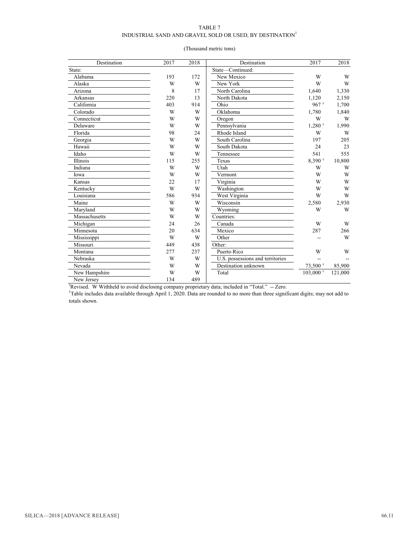#### TABLE 7

#### INDUSTRIAL SAND AND GRAVEL SOLD OR USED, BY DESTINATION  $^{\mathrm{I}}$

| Destination   | 2017 | 2018 | Destination                                                                                                                                 | 2017                   | 2018    |
|---------------|------|------|---------------------------------------------------------------------------------------------------------------------------------------------|------------------------|---------|
| State:        |      |      | State-Continued:                                                                                                                            |                        |         |
| Alabama       | 193  | 172  | New Mexico                                                                                                                                  | W                      | W       |
| Alaska        | W    | W    | New York                                                                                                                                    | W                      | W       |
| Arizona       | 8    | 17   | North Carolina                                                                                                                              | 1,640                  | 1,330   |
| Arkansas      | 220  | 13   | North Dakota                                                                                                                                | 1,120                  | 2,150   |
| California    | 403  | 914  | Ohio                                                                                                                                        | $967$ <sup>r</sup>     | 1,700   |
| Colorado      | W    | W    | Oklahoma                                                                                                                                    | 1,780                  | 1,840   |
| Connecticut   | W    | W    | Oregon                                                                                                                                      | W                      | W       |
| Delaware      | W    | W    | Pennsylvania                                                                                                                                | $1.280$ <sup>r</sup>   | 1.990   |
| Florida       | 98   | 24   | Rhode Island                                                                                                                                | W                      | W       |
| Georgia       | W    | W    | South Carolina                                                                                                                              | 197                    | 205     |
| Hawaii        | W    | W    | South Dakota                                                                                                                                | 24                     | 23      |
| Idaho         | W    | W    | Tennessee                                                                                                                                   | 541                    | 555     |
| Illinois      | 115  | 255  | Texas                                                                                                                                       | $8,390$ <sup>r</sup>   | 10,800  |
| Indiana       | W    | W    | Utah                                                                                                                                        | W                      | W       |
| Iowa          | W    | W    | Vermont                                                                                                                                     | W                      | W       |
| Kansas        | 22   | 17   | Virginia                                                                                                                                    | W                      | W       |
| Kentucky      | W    | W    | Washington                                                                                                                                  | W                      | W       |
| Louisiana     | 586  | 934  | West Virginia                                                                                                                               | W                      | W       |
| Maine         | W    | W    | Wisconsin                                                                                                                                   | 2,580                  | 2,930   |
| Maryland      | W    | W    | Wyoming                                                                                                                                     | W                      | W       |
| Massachusetts | W    | W    | Countries:                                                                                                                                  |                        |         |
| Michigan      | 24   | 26   | Canada                                                                                                                                      | W                      | W       |
| Minnesota     | 20   | 634  | Mexico                                                                                                                                      | 287                    | 266     |
| Mississippi   | W    | W    | Other                                                                                                                                       |                        | W       |
| Missouri      | 449  | 438  | Other:                                                                                                                                      |                        |         |
| Montana       | 277  | 237  | Puerto Rico                                                                                                                                 | W                      | W       |
| Nebraska      | W    | W    | U.S. possessions and territories                                                                                                            |                        |         |
| Nevada        | W    | W    | Destination unknown                                                                                                                         | 73,500 r               | 85,900  |
| New Hampshire | W    | W    | Total                                                                                                                                       | $103,000$ <sup>r</sup> | 121,000 |
| New Jersey    | 134  | 489  |                                                                                                                                             |                        |         |
|               |      |      | 'Revised. W Withheld to avoid disclosing company proprietary data; included in "Total." -- Zero.                                            |                        |         |
|               |      |      | <sup>1</sup> Table includes data available through April 1, 2020. Data are rounded to no more than three significant digits; may not add to |                        |         |

#### (Thousand metric tons)

totals shown.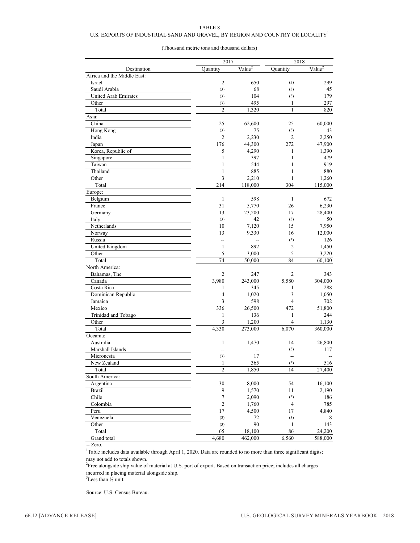#### TABLE 8

#### U.S. EXPORTS OF INDUSTRIAL SAND AND GRAVEL, BY REGION AND COUNTRY OR LOCALITY  $^{\rm l}$

#### (Thousand metric tons and thousand dollars)

|                              | 2017                     |                          | 2018                           |                      |
|------------------------------|--------------------------|--------------------------|--------------------------------|----------------------|
| Destination                  | Quantity                 | Value <sup>2</sup>       | Quantity                       | Value $\overline{2}$ |
| Africa and the Middle East:  |                          |                          |                                |                      |
| Israel                       | $\overline{c}$           | 650                      | (3)                            | 299                  |
| Saudi Arabia                 | (3)                      | 68                       | (3)                            | 45                   |
| <b>United Arab Emirates</b>  | (3)                      | 104                      | (3)                            | 179                  |
| Other                        | (3)                      | 495                      | $\mathbf{1}$                   | 297                  |
| Total                        | $\overline{c}$           | 1,320                    | $\mathbf{1}$                   | 820                  |
| Asia:                        |                          |                          |                                |                      |
| China                        | 25                       | 62,600                   | 25                             | 60,000               |
| Hong Kong                    | (3)                      | 75                       | (3)                            | 43                   |
| India                        | $\overline{2}$           | 2,230                    | $\overline{c}$                 | 2,250                |
| Japan                        | 176                      | 44,300                   | 272                            | 47,900               |
| Korea, Republic of           | 5                        | 4,290                    | 1                              | 1,390                |
| Singapore                    | $\mathbf{1}$             | 397                      | $\mathbf{1}$                   | 479                  |
| Taiwan                       | $\mathbf{1}$             | 544                      | $\mathbf{1}$                   | 919                  |
| Thailand                     | $\mathbf{1}$             | 885                      | $\mathbf{1}$                   | 880                  |
| Other                        | 3                        | 2,210                    | 1                              | 1,260                |
| Total                        | 214                      | 118,000                  | 304                            | 115,000              |
| Europe:                      |                          |                          |                                |                      |
| Belgium                      | $\mathbf{1}$             | 598                      | 1                              | 672                  |
| France                       | 31                       | 5,770                    | 26                             | 6,230                |
| Germany                      | 13                       | 23,200                   | 17                             | 28,400               |
| Italy                        | (3)                      | 42                       | (3)                            | 50                   |
| Netherlands                  | 10                       | 7,120                    | 15                             | 7,950                |
| Norway                       | 13                       | 9,330                    | 16                             | 12,000               |
| Russia                       | $\overline{a}$           | $\overline{\phantom{a}}$ | (3)                            | 126                  |
| United Kingdom               | $\mathbf{1}$             | 892                      | $\overline{c}$                 | 1,450                |
| Other                        | 5                        | 3,000                    | 5                              | 3,220                |
| Total                        | 74                       | 50,000                   | 84                             | 60,100               |
| North America:               |                          |                          |                                |                      |
| Bahamas, The                 | 2                        | 247                      | $\overline{2}$                 | 343                  |
| Canada                       | 3,980                    | 243,000                  | 5,580                          | 304,000              |
| Costa Rica                   | $\mathbf{1}$             | 345                      | 1                              | 288                  |
|                              | $\overline{4}$           | 1,020                    | 3                              |                      |
| Dominican Republic           |                          |                          | $\overline{4}$                 | 1,050                |
| Jamaica<br>Mexico            | 3<br>336                 | 598                      | 472                            | 702                  |
|                              |                          | 26,500                   |                                | 51,800               |
| Trinidad and Tobago<br>Other | $\mathbf{1}$             | 136                      | $\mathbf{1}$<br>$\overline{4}$ | 244                  |
|                              | 3                        | 1,200                    |                                | 1,130                |
| Total                        | 4,330                    | 273,000                  | 6,070                          | 360,000              |
| Oceania:                     |                          |                          |                                |                      |
| Australia                    | $\mathbf{1}$             | 1,470                    | 14                             | 26,800               |
| Marshall Islands             | $\overline{\phantom{a}}$ | $\overline{a}$           | (3)                            | 117                  |
| Micronesia                   | (3)                      | 17                       | $\overline{a}$                 |                      |
| New Zealand                  | $\mathbf{1}$             | 365                      | (3)                            | 516                  |
| Total                        | $\overline{c}$           | 1,850                    | 14                             | 27,400               |
| South America:               |                          |                          |                                |                      |
| Argentina                    | 30                       | 8,000                    | 54                             | 16,100               |
| <b>Brazil</b>                | 9                        | 1,570                    | 11                             | 2,190                |
| Chile                        | $\boldsymbol{7}$         | 2,090                    | (3)                            | 186                  |
| Colombia                     | $\overline{c}$           | 1,760                    | 4                              | 785                  |
| Peru                         | 17                       | 4,500                    | 17                             | 4,840                |
| Venezuela                    | (3)                      | 72                       | (3)                            | 8                    |
| Other                        | (3)                      | 90                       | $\mathbf{1}$                   | 143                  |
| Total                        | 65                       | 18,100                   | 86                             | 24,200               |
| Grand total                  | 4,680                    | 462,000                  | 6,560                          | 588,000              |

-- Zero.

<sup>1</sup>Table includes data available through April 1, 2020. Data are rounded to no more than three significant digits; may not add to totals shown.

 $2^2$ Free alongside ship value of material at U.S. port of export. Based on transaction price; includes all charges incurred in placing material alongside ship.

 $3$ Less than  $\frac{1}{2}$  unit.

Source: U.S. Census Bureau.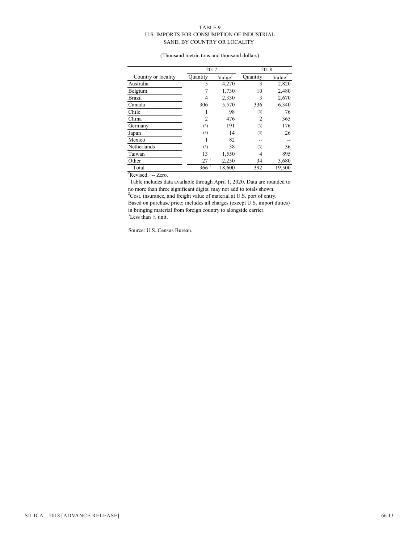#### TABLE 9 U.S. IMPORTS FOR CONSUMPTION OF INDUSTRIAL SAND, BY COUNTRY OR LOCALITY<sup>1</sup>

(Thousand metric tons and thousand dollars)

|                     | 2017     |                    | 2018     |                    |  |
|---------------------|----------|--------------------|----------|--------------------|--|
| Country or locality | Quantity | Value <sup>2</sup> | Quantity | Value <sup>2</sup> |  |
| Australia           | 5        | 4,270              | 3        | 2,820              |  |
| Belgium             |          | 1,730              | 10       | 2,480              |  |
| <b>Brazil</b>       | 4        | 2,330              | 3        | 2,670              |  |
| Canada              | 306      | 5,570              | 336      | 6,340              |  |
| Chile               |          | 98                 | (3)      | 76                 |  |
| China               | 2        | 476                | 2        | 365                |  |
| Germany             | (3)      | 191                | (3)      | 176                |  |
| Japan               | (3)      | 14                 | (3)      | 26                 |  |
| Mexico              |          | 82                 |          |                    |  |
| Netherlands         | (3)      | 38                 | (3)      | 36                 |  |
| Taiwan              | 13       | 1,550              | 4        | 895                |  |
| Other               | 27 r     | 2,250              | 34       | 3,680              |  |
| Total               | 366r     | 18,600             | 392      | 19,500             |  |

<sup>r</sup>Revised. -- Zero.

<sup>1</sup>Table includes data available through April 1, 2020. Data are rounded to no more than three significant digits; may not add to totals shown.  $2$ Cost, insurance, and freight value of material at U.S. port of entry. Based on purchase price; includes all charges (except U.S. import duties) in bringing material from foreign country to alongside carrier.  $3$ Less than  $\frac{1}{2}$  unit.

Source: U.S. Census Bureau.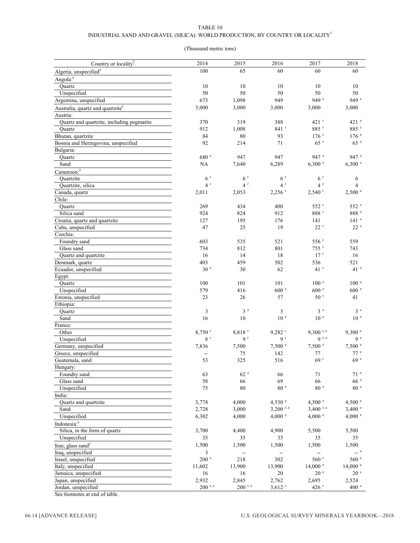#### TABLE 10

#### INDUSTRIAL SAND AND GRAVEL (SILICA): WORLD PRODUCTION, BY COUNTRY OR LOCALITY  $^{\rm l}$

#### (Thousand metric tons)

| Country or locality <sup>2</sup>             | 2014                 | 2015                                          | 2016                     | 2017                        | 2018               |
|----------------------------------------------|----------------------|-----------------------------------------------|--------------------------|-----------------------------|--------------------|
| Algeria, unspecified <sup>e</sup>            | 100                  | 65                                            | 60                       | 60                          | 60                 |
| Angola: <sup>e</sup>                         |                      |                                               |                          |                             |                    |
| Quartz                                       | 10                   | 10                                            | 10                       | 10                          | 10                 |
| Unspecified                                  | 50                   | 50                                            | 50                       | 50                          | 50                 |
| Argentina, unspecified                       | 673                  | 1,098                                         | 949                      | 949 e                       | 949 $e$            |
| Australia, quartz and quartzite <sup>e</sup> | 3,000                | 3,000                                         | 3,000                    | 3,000                       | 3,000              |
|                                              |                      |                                               |                          |                             |                    |
| Austria:                                     |                      |                                               |                          | 421 <sup>r</sup>            | 421 e              |
| Quartz and quartzite, including pegmatite    | 370                  | 319                                           | 388                      |                             |                    |
| Quartz                                       | 912                  | 1,008                                         | 841 r                    | 885 r                       | 885 e              |
| Bhutan, quartzite                            | 84                   | $80\,$                                        | 93                       | $176$ <sup>r</sup>          | 176 <sup>e</sup>   |
| Bosnia and Herzegovina, unspecified          | 92                   | 214                                           | 71                       | 65r                         | 65e                |
| Bulgaria:                                    |                      |                                               |                          |                             |                    |
| Quartz                                       | 680 e                | 947                                           | 947                      | 947 e                       | 947 e              |
| Sand                                         | NA                   | 7,640                                         | 6,289                    | 6,300 °                     | 6,300 °            |
| Cameroon: <sup>e</sup>                       |                      |                                               |                          |                             |                    |
| Quartzite                                    | 6 <sup>r</sup>       | 6 <sup>r</sup>                                | 6 <sup>r</sup>           | 6 <sup>r</sup>              | 6                  |
| Quartzite, silica                            | 4 <sup>r</sup>       | 4 <sup>r</sup>                                | 4 <sup>r</sup>           | $4^r$                       | 4                  |
| Canada, quartz                               | 2,011                | 2,053                                         | $2,256$ <sup>r</sup>     | $2,540$ <sup>r</sup>        | 2,500 °            |
| Chile:                                       |                      |                                               |                          |                             |                    |
| Quartz                                       | 269                  | 434                                           | 400                      | 552 r                       | 552 e              |
| Silica sand                                  | 924                  | 824                                           | 912                      | $888~^{\rm r}$              | 888 e              |
| Croatia, quartz and quartzite                | 127                  | 195                                           | 176                      | 141                         | $141$ $e$          |
| Cuba, unspecified                            | 47                   | 25                                            | 19                       | $22^r$                      | 22e                |
| Czechia:                                     |                      |                                               |                          |                             |                    |
| Foundry sand                                 | 603                  | 535                                           | 521                      | 556 <sup>r</sup>            | 559                |
| Glass sand                                   | 734                  | 812                                           | 801                      | $755$ <sup>r</sup>          | 743                |
| Quartz and quartzite                         | 16                   | 14                                            | 18                       | 17 <sup>r</sup>             | 16                 |
| Denmark, quartz                              | 403                  | 459                                           | 502                      | 536                         | 521                |
| Ecuador, unspecified                         | 30 <sup>e</sup>      | 30                                            | 62                       | $41$ <sup>r</sup>           | 41 <sup>e</sup>    |
|                                              |                      |                                               |                          |                             |                    |
| Egypt:                                       | 100                  | 101                                           | 101                      | 100 <sup>e</sup>            | 100 <sup>e</sup>   |
| Quartz                                       |                      |                                               |                          |                             |                    |
| Unspecified                                  | 579                  | 416                                           | 600 <sup>e</sup>         | 600 <sup>e</sup>            | $600$ $^{\circ}$   |
| Estonia, unspecified                         | 23                   | 26                                            | 57                       | 50 <sup>r</sup>             | 41                 |
| Ethiopia:                                    |                      |                                               |                          |                             |                    |
| Quartz                                       | 3                    | 3e                                            | $\mathfrak{Z}$           | 3e                          | 3e                 |
| Sand                                         | 16                   | 10                                            | 10 <sup>e</sup>          | 10 <sup>e</sup>             | $10^{-e}$          |
| France:                                      |                      |                                               |                          |                             |                    |
| Other                                        | $8,750$ <sup>r</sup> | 8,818 r                                       | $9,282$ <sup>r</sup>     | $9,300$ r, e                | 9,300 °            |
| Unspecified                                  | $8\,$ $^{\rm r}$     | 9 <sup>r</sup>                                | 9 <sup>r</sup>           | 9 r, e                      | 9e                 |
| Germany, unspecified                         | 7,836                | 7,500                                         | 7,500 °                  | 7,500 °                     | 7,500 °            |
| Greece, unspecified                          | ٠.                   | 75                                            | 142                      | 77                          | 77e                |
| Guatemala, sand                              | 53                   | 325                                           | 516                      | 69r                         | 69e                |
| Hungary:                                     |                      |                                               |                          |                             |                    |
| Foundry sand                                 | 63                   | 62 e                                          | 66                       | 71                          | 71 <sup>e</sup>    |
| Glass sand                                   | 58                   | 66                                            | 69                       | 66                          | 66e                |
| Unspecified                                  | 75                   | 80                                            | 80 <sup>e</sup>          | 80 <sup>e</sup>             | 80e                |
| India:                                       |                      |                                               |                          |                             |                    |
| Quartz and quartzite                         | 3,778                | 4,000                                         | 4,530 $^{\circ}$         | 4,500 $^{\circ}$            | 4,500 °            |
| Sand                                         | 2,728                | 3,000                                         | $3,200$ r, e             | $3,400$ r, e                | $3,400$ e          |
| Unspecified                                  | 6,302                | 4,000                                         | 4,000 °                  | 4,000 °                     | 4,000 e            |
| Indonesia: <sup>e</sup>                      |                      |                                               |                          |                             |                    |
| Silica, in the form of quartz                | 3,700                | 4,400                                         | 4,900                    | 5,500                       | 5,500              |
| Unspecified                                  | 35                   | 35                                            | 35                       | 35                          | 35                 |
| Iran, glass sand <sup>e</sup>                | 1,500                | 1,500                                         | 1,500                    | 1,500                       | 1,500              |
|                                              |                      |                                               |                          |                             | $-$ e              |
| Iraq, unspecified                            | 3                    | $\mathord{\hspace{1pt}\text{--}\hspace{1pt}}$ | $\overline{\phantom{a}}$ | $\mathcal{L}_{\mathcal{F}}$ |                    |
| Israel, unspecified                          | 200 e                | 218                                           | 302                      | 560 <sup>r</sup>            | $560$ $^{\circ}$   |
| Italy, unspecified                           | 11,602               | 13,900                                        | 13,900                   | $14,000$ $\degree$          | $14,000$ $\degree$ |
| Jamaica, unspecified                         | 16                   | 16                                            | 20                       | 20 <sup>e</sup>             | 20 <sup>e</sup>    |
| Japan, unspecified                           | 2,932                | 2,845                                         | 2,762                    | 2,695                       | 2,524              |
| Jordan, unspecified                          | $200$ r, e           | $200$ r, e                                    | $3,612$ <sup>r</sup>     | $426$ <sup>r</sup>          | 400 e              |
| See footnotes at end of table.               |                      |                                               |                          |                             |                    |